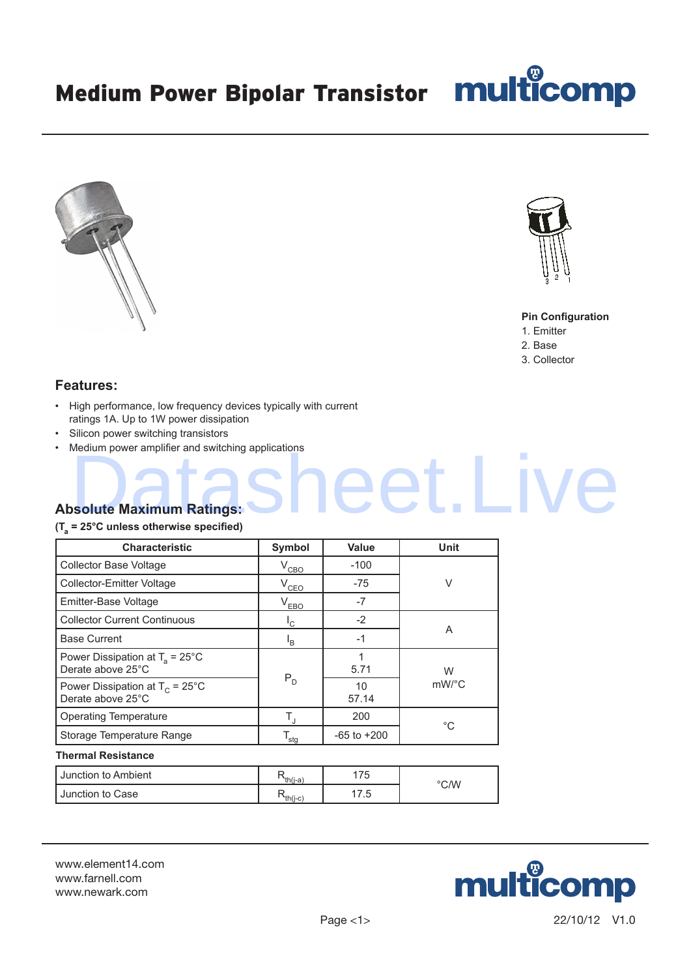



#### **Pin Configuration**

- 1. Emitter
- 2. Base

reet.Liv

3. Collector

# **Features:**

- High performance, low frequency devices typically with current ratings 1A. Up to 1W power dissipation
- Silicon power switching transistors
- Medium power amplifier and switching applications

# **Absolute Maximum Ratings:**

### **(Ta = 25°C unless otherwise specified)**

| <b>Characteristic</b>                                          | Symbol                    | <b>Value</b>    | <b>Unit</b>           |  |
|----------------------------------------------------------------|---------------------------|-----------------|-----------------------|--|
| Collector Base Voltage                                         | $V_{CBO}$                 | $-100$          | $\vee$                |  |
| Collector-Emitter Voltage                                      | $V_{CEO}$                 | $-75$           |                       |  |
| Emitter-Base Voltage                                           | $V_{EBO}$                 | $-7$            |                       |  |
| <b>Collector Current Continuous</b>                            | 'c                        | $-2$            |                       |  |
| <b>Base Current</b>                                            | <sup>I</sup> <sub>B</sub> | $-1$            | A                     |  |
| Power Dissipation at $T_a = 25^{\circ}$ C<br>Derate above 25°C |                           | 1<br>5.71       | W                     |  |
| Power Dissipation at $T_c = 25^{\circ}$ C<br>Derate above 25°C | $P_D$                     | 10<br>57.14     | $mW$ <sup>o</sup> $C$ |  |
| <b>Operating Temperature</b>                                   | $T_{\rm J}$               | 200             | $^{\circ}C$           |  |
| Storage Temperature Range                                      | $T_{\text{sig}}$          | $-65$ to $+200$ |                       |  |
| <b>Thermal Resistance</b>                                      |                           |                 |                       |  |
| Junction to Ambient                                            | $R_{th(\underline{i-a})}$ | 175             | $\degree$ C/W         |  |
| Junction to Case                                               | $R_{th(\underline{j-c})}$ | 17.5            |                       |  |

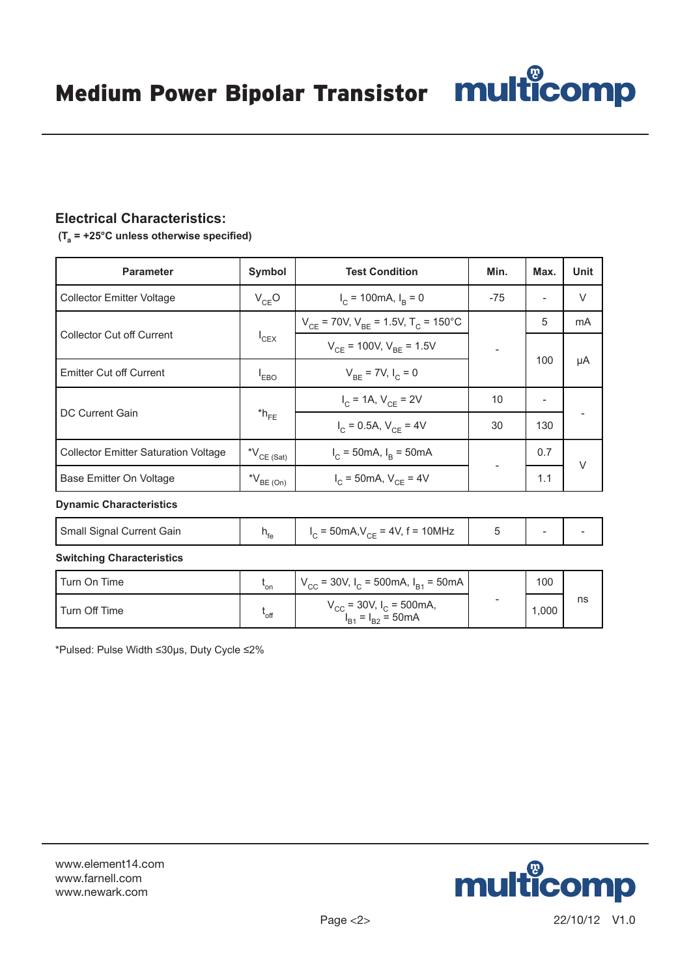# **Electrical Characteristics:**

 **(Ta = +25°C unless otherwise specified)**

| <b>Parameter</b>                            | Symbol                                   | <b>Test Condition</b>                                   | Min.  | Max. | Unit   |
|---------------------------------------------|------------------------------------------|---------------------------------------------------------|-------|------|--------|
| <b>Collector Emitter Voltage</b>            | $V_{CE}O$                                | $I_C = 100 \text{mA}, I_R = 0$                          | $-75$ |      | $\vee$ |
| <b>Collector Cut off Current</b>            | $I_{CEX}$                                | $V_{CF}$ = 70V, $V_{BF}$ = 1.5V, T <sub>C</sub> = 150°C |       | 5    | mA     |
|                                             |                                          | $V_{CF}$ = 100V, $V_{BE}$ = 1.5V                        |       |      |        |
| <b>Emitter Cut off Current</b>              | $V_{BE}$ = 7V, $I_C$ = 0<br>$I_{EBO}$    |                                                         |       | 100  | μA     |
| DC Current Gain                             | $*h_{FE}$                                | $I_C = 1A$ , $V_{CE} = 2V$                              | 10    |      |        |
|                                             |                                          | $I_C = 0.5A, V_{CE} = 4V$                               | 30    | 130  |        |
| <b>Collector Emitter Saturation Voltage</b> | $^{\star}\mathsf{V}_{\mathsf{CE}}$ (Sat) | $I_C = 50 \text{mA}, I_B = 50 \text{mA}$                |       | 0.7  | $\vee$ |
| Base Emitter On Voltage                     | $N_{BE(On)}$                             | $I_C = 50 \text{mA}, V_{CE} = 4V$                       |       | 1.1  |        |
| <b>Dynamic Characteristics</b>              |                                          |                                                         |       |      |        |

Small Signal Current Gain  $h_{fe}$  $I_C = 50$ mA, $V_{CE} = 4V$ , f = 10MHz 5 -

**Switching Characteristics**

| Turn On Time  | *on              | $V_{\text{CC}}$ = 30V, I <sub>C</sub> = 500mA, I <sub>B1</sub> = 50mA |                          | 100  |    |
|---------------|------------------|-----------------------------------------------------------------------|--------------------------|------|----|
| Turn Off Time | <sup>ւ</sup> off | $V_{CC}$ = 30V, $I_C$ = 500mA,<br>$I_{B1} = I_{B2} = 50 \text{mA}$    | $\overline{\phantom{0}}$ | ,000 | ns |

\*Pulsed: Pulse Width ≤30μs, Duty Cycle ≤2%